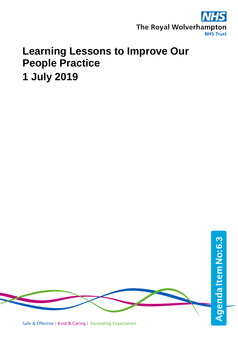

# **Learning Lessons to Improve Our People Practice 1 July 2019**



Safe & Effective | Kind & Caring | Exceeding Expectation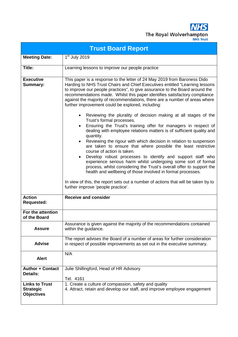

| <b>Trust Board Report</b>                                      |                                                                                                                                                                                                                                                                                                                                                                                                                                                                                                                                                                                                                                                                                                                                                                                                                                                                                                                                                                                                                                                                                                                                                                                                                                                                                                                             |  |
|----------------------------------------------------------------|-----------------------------------------------------------------------------------------------------------------------------------------------------------------------------------------------------------------------------------------------------------------------------------------------------------------------------------------------------------------------------------------------------------------------------------------------------------------------------------------------------------------------------------------------------------------------------------------------------------------------------------------------------------------------------------------------------------------------------------------------------------------------------------------------------------------------------------------------------------------------------------------------------------------------------------------------------------------------------------------------------------------------------------------------------------------------------------------------------------------------------------------------------------------------------------------------------------------------------------------------------------------------------------------------------------------------------|--|
| <b>Meeting Date:</b>                                           | $1st$ July 2019                                                                                                                                                                                                                                                                                                                                                                                                                                                                                                                                                                                                                                                                                                                                                                                                                                                                                                                                                                                                                                                                                                                                                                                                                                                                                                             |  |
| Title:                                                         | Learning lessons to improve our people practice                                                                                                                                                                                                                                                                                                                                                                                                                                                                                                                                                                                                                                                                                                                                                                                                                                                                                                                                                                                                                                                                                                                                                                                                                                                                             |  |
| <b>Executive</b><br><b>Summary:</b>                            | This paper is a response to the letter of 24 May 2019 from Baroness Dido<br>Harding to NHS Trust Chairs and Chief Executives entitled "Learning lessons<br>to improve our people practices", to give assurance to the Board around the<br>recommendations made. Whilst this paper identifies satisfactory compliance<br>against the majority of recommendations, there are a number of areas where<br>further improvement could be explored, including:<br>Reviewing the plurality of decision making at all stages of the<br>$\bullet$<br>Trust's formal processes.<br>Ensuring the Trust's training offer for managers in respect of<br>$\bullet$<br>dealing with employee relations matters is of sufficient quality and<br>quantity.<br>Reviewing the rigour with which decision in relation to suspension<br>are taken to ensure that where possible the least restrictive<br>course of action is taken.<br>Develop robust processes to identify and support staff who<br>$\bullet$<br>experience serious harm whilst undergoing some sort of formal<br>process, whilst considering the Trust's overall offer to support the<br>health and wellbeing of those involved in formal processes.<br>In view of this, the report sets out a number of actions that will be taken by to<br>further improve 'people practice'. |  |
| <b>Action</b><br><b>Requested:</b>                             | <b>Receive and consider</b>                                                                                                                                                                                                                                                                                                                                                                                                                                                                                                                                                                                                                                                                                                                                                                                                                                                                                                                                                                                                                                                                                                                                                                                                                                                                                                 |  |
| For the attention<br>of the Board                              |                                                                                                                                                                                                                                                                                                                                                                                                                                                                                                                                                                                                                                                                                                                                                                                                                                                                                                                                                                                                                                                                                                                                                                                                                                                                                                                             |  |
| <b>Assure</b>                                                  | Assurance is given against the majority of the recommendations contained<br>within the guidance.                                                                                                                                                                                                                                                                                                                                                                                                                                                                                                                                                                                                                                                                                                                                                                                                                                                                                                                                                                                                                                                                                                                                                                                                                            |  |
| <b>Advise</b>                                                  | The report advises the Board of a number of areas for further consideration<br>in respect of possible improvements as set out in the executive summary.                                                                                                                                                                                                                                                                                                                                                                                                                                                                                                                                                                                                                                                                                                                                                                                                                                                                                                                                                                                                                                                                                                                                                                     |  |
| <b>Alert</b>                                                   | N/A                                                                                                                                                                                                                                                                                                                                                                                                                                                                                                                                                                                                                                                                                                                                                                                                                                                                                                                                                                                                                                                                                                                                                                                                                                                                                                                         |  |
| <b>Author + Contact</b><br>Details:                            | Julie Shillingford, Head of HR Advisory<br>Tel. 4161                                                                                                                                                                                                                                                                                                                                                                                                                                                                                                                                                                                                                                                                                                                                                                                                                                                                                                                                                                                                                                                                                                                                                                                                                                                                        |  |
| <b>Links to Trust</b><br><b>Strategic</b><br><b>Objectives</b> | 1. Create a culture of compassion, safety and quality<br>4. Attract, retain and develop our staff, and improve employee engagement                                                                                                                                                                                                                                                                                                                                                                                                                                                                                                                                                                                                                                                                                                                                                                                                                                                                                                                                                                                                                                                                                                                                                                                          |  |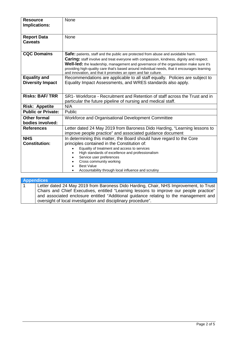| <b>Resource</b><br><b>Implications:</b>        | None                                                                                                                                                                                                                                                                                                                                                                                                                                                            |  |  |
|------------------------------------------------|-----------------------------------------------------------------------------------------------------------------------------------------------------------------------------------------------------------------------------------------------------------------------------------------------------------------------------------------------------------------------------------------------------------------------------------------------------------------|--|--|
| <b>Report Data</b><br><b>Caveats</b>           | None                                                                                                                                                                                                                                                                                                                                                                                                                                                            |  |  |
| <b>CQC Domains</b>                             | <b>Safe:</b> patients, staff and the public are protected from abuse and avoidable harm.<br><b>Caring:</b> staff involve and treat everyone with compassion, kindness, dignity and respect.<br><b>Well-led:</b> the leadership, management and governance of the organisation make sure it's<br>providing high-quality care that's based around individual needs, that it encourages learning<br>and innovation, and that it promotes an open and fair culture. |  |  |
| <b>Equality and</b><br><b>Diversity Impact</b> | Recommendations are applicable to all staff equally. Policies are subject to<br>Equality Impact Assessments, and WRES standards also apply.                                                                                                                                                                                                                                                                                                                     |  |  |
| <b>Risks: BAF/TRR</b>                          | SR1- Workforce - Recruitment and Retention of staff across the Trust and in<br>particular the future pipeline of nursing and medical staff.                                                                                                                                                                                                                                                                                                                     |  |  |
| <b>Risk: Appetite</b>                          | N/A                                                                                                                                                                                                                                                                                                                                                                                                                                                             |  |  |
| <b>Public or Private:</b>                      | Public                                                                                                                                                                                                                                                                                                                                                                                                                                                          |  |  |
| <b>Other formal</b><br>bodies involved:        | Workforce and Organisational Development Committee                                                                                                                                                                                                                                                                                                                                                                                                              |  |  |
| <b>References</b>                              | Letter dated 24 May 2019 from Baroness Dido Harding, "Learning lessons to<br>improve people practice" and associated guidance document                                                                                                                                                                                                                                                                                                                          |  |  |
| <b>NHS</b><br><b>Constitution:</b>             | In determining this matter, the Board should have regard to the Core<br>principles contained in the Constitution of:<br>Equality of treatment and access to services<br>High standards of excellence and professionalism<br>Service user preferences<br>Cross community working<br><b>Best Value</b><br>Accountability through local influence and scrutiny                                                                                                     |  |  |

## **Appendices** 1 Letter dated 24 May 2019 from Baroness Dido Harding, Chair, NHS Improvement, to Trust Chairs and Chief Executives, entitled "Learning lessons to improve our people practice" and associated enclosure entitled "Additional guidance relating to the management and oversight of local investigation and disciplinary procedure".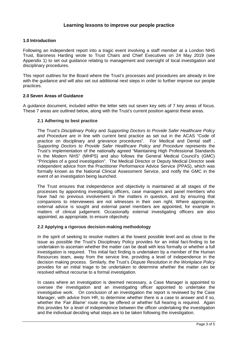# **1.0 Introduction**

Following an independent report into a tragic event involving a staff member at a London NHS Trust, Baroness Harding wrote to Trust Chairs and Chief Executives on 24 May 2019 (see Appendix 1) to set out guidance relating to management and oversight of local investigation and disciplinary procedures.

This report outlines for the Board where the Trust's processes and procedures are already in line with the guidance and will also set out additional next steps in order to further improve our people practices.

## **2.0 Seven Areas of Guidance**

A guidance document, included within the letter sets out seven key sets of 7 key areas of focus. These 7 areas are outlined below, along with the Trust's current position against these areas.

## **2.1 Adhering to best practice**

The Trust's *Disciplinary Policy* and *Supporting Doctors to Provide Safer Healthcare Policy and Procedure* are in line with current best practice as set out in the ACAS "Code of practice on disciplinary and grievance procedures". For Medical and Dental staff , *Supporting Doctors to Provide Safer Healthcare Policy and Procedure* represents the Trust's implementation of the nationally agreed "Maintaining High Professional Standards in the Modern NHS" (MHPS) and also follows the General Medical Council's (GMC) "Principles of a good investigation". The Medical Director or Deputy Medical Director seek independent advice from the Practitioner Performance Advice Service (PPAS), which was formally known as the National Clinical Assessment Service, and notify the GMC in the event of an investigation being launched.

The Trust ensures that independence and objectivity is maintained at all stages of the processes by appointing investigating officers, case managers and panel members who have had no previous involvement in the matters in question, and by ensuring that companions to interviewees are not witnesses in their own right. Where appropriate, external advice is sought and external panel members are appointed, for example in matters of clinical judgement. Occasionally external investigating officers are also appointed, as appropriate, to ensure objectivity.

## **2.2 Applying a rigorous decision-making methodology**

In the spirit of seeking to resolve matters at the lowest possible level and as close to the issue as possible the Trust's Disciplinary Policy provides for an initial fact-finding to be undertaken to ascertain whether the matter can be dealt with less formally or whether a full investigation is required. This initial fact finding is undertaken by a member of the Human Resources team, away from the service line, providing a level of independence in the decision making process. Similarly, the Trust's *Dispute Resolution in the Workplace Policy* provides for an initial triage to be undertaken to determine whether the matter can be resolved without recourse to a formal investigation.

In cases where an investigation is deemed necessary, a Case Manager is appointed to oversee the investigation and an investigating officer appointed to undertake the investigative work. On conclusion of an investigation the report is reviewed by the Case Manager, with advice from HR, to determine whether there is a case to answer and if so, whether the *'Fair Blame'* route may be offered or whether full hearing is required. Again this provides for a level of independence between the officer undertaking the investigation and the individual deciding what steps are to be taken following the investigation.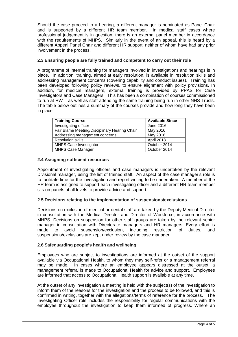Should the case proceed to a hearing, a different manager is nominated as Panel Chair and is supported by a different HR team member. In medical staff cases where professional judgement is in question, there is an external panel member in accordance with the requirements of MHPS. Similarly in the event of an appeal, this is heard by a different Appeal Panel Chair and different HR support, neither of whom have had any prior involvement in the process.

## **2.3 Ensuring people are fully trained and competent to carry out their role**

A programme of internal training for managers involved in investigations and hearings is in place. In addition, training, aimed at early resolution, is available in resolution skills and addressing management concerns (covering capability and conduct issues). Training has been developed following policy reviews, to ensure alignment with policy provisions. In addition, for medical managers, external training is provided by PPAS for Case Investigators and Case Managers. This has been a combination of courses commissioned to run at RWT, as well as staff attending the same training being run in other NHS Trusts. The table below outlines a summary of the courses provide and how long they have been in place.

| <b>Training Course</b>                        | <b>Available Since</b> |
|-----------------------------------------------|------------------------|
| Investigating officer                         | June 2016              |
| Fair Blame Meeting/Disciplinary Hearing Chair | May 2016               |
| Addressing management concerns                | May 2016               |
| <b>Resolution skills</b>                      | April 2018             |
| <b>MHPS Case Investigator</b>                 | October 2014           |
| <b>MHPS Case Manager</b>                      | October 2014           |

## **2.4 Assigning sufficient resources**

Appointment of investigating officers and case managers is undertaken by the relevant Divisional manager, using the list of trained staff. An aspect of the case manager's role is to facilitate time for the investigation and report-writing to be undertaken. A member of the HR team is assigned to support each investigating officer and a different HR team member sits on panels at all levels to provide advice and support.

## **2.5 Decisions relating to the implementation of suspensions/exclusions**

Decisions on exclusion of medical or dental staff are taken by the Deputy Medical Director in consultation with the Medical Director and Director of Workforce, in accordance with MHPS. Decisions on suspension for other staff groups are taken by the relevant senior manager in consultation with Directorate managers and HR managers. Every effort is made to avoid suspension/exclusion, including restriction of duties, and suspensions/exclusions are kept under review by the case manager.

## **2.6 Safeguarding people's health and wellbeing**

Employees who are subject to investigations are informed at the outset of the support available via Occupational Health, to whom they may self-refer or a management referral may be made. In cases where an employee appears distressed at the outset, a management referral is made to Occupational Health for advice and support. Employees are informed that access to Occupational Health support is available at any time.

At the outset of any investigation a meeting is held with the subject(s) of the investigation to inform them of the reasons for the investigation and the process to be followed, and this is confirmed in writing, together with the allegations/terms of reference for the process. The Investigating Officer role includes the responsibility for regular communications with the employee throughout the investigation to keep them informed of progress. Where an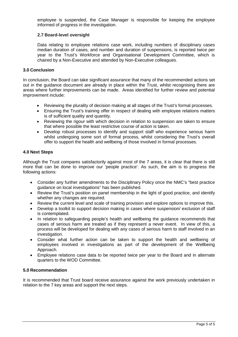employee is suspended, the Case Manager is responsible for keeping the employee informed of progress in the investigation.

#### **2.7 Board-level oversight**

Data relating to employee relations case work, including numbers of disciplinary cases median duration of cases, and number and duration of suspensions, is reported twice per year to the Trust's Workforce and Organisational Development Committee, which is chaired by a Non-Executive and attended by Non-Executive colleagues.

#### **3.0 Conclusion**

In conclusion, the Board can take significant assurance that many of the recommended actions set out in the guidance document are already in place within the Trust, whilst recognising there are areas where further improvements can be made. Areas identified for further review and potential improvement include:

- Reviewing the plurality of decision making at all stages of the Trust's formal processes.
- Ensuring the Trust's training offer in respect of dealing with employee relations matters is of sufficient quality and quantity.
- Reviewing the rigour with which decision in relation to suspension are taken to ensure that where possible the least restrictive course of action is taken.
- Develop robust processes to identify and support staff who experience serious harm whilst undergoing some sort of formal process, whilst considering the Trust's overall offer to support the health and wellbeing of those involved in formal processes.

#### **4.0 Next Steps**

Although the Trust compares satisfactorily against most of the 7 areas, it is clear that there is still more that can be done to improve our 'people practice'. As such, the aim is to progress the following actions:

- Consider any further amendments to the Disciplinary Policy once the NMC's "best practice guidance on local investigations" has been published.
- Review the Trust's position on panel membership in the light of good practice, and identify whether any changes are required.
- Review the current level and scale of training provision and explore options to improve this.
- Develop a toolkit to support decision making in cases where suspension/ exclusion of staff is contemplated.
- In relation to safeguarding people's health and wellbeing the guidance recommends that cases of serious harm are treated as if they represent a never event. In view of this, a process will be developed for dealing with any cases of serious harm to staff involved in an investigation.
- Consider what further action can be taken to support the health and wellbeing of employees involved in investigations as part of the development of the Wellbeing Approach.
- Employee relations case data to be reported twice per year to the Board and in alternate quarters to the WOD Committee.

#### **5.0 Recommendation**

It is recommended that Trust board receive assurance against the work previously undertaken in relation to the 7 key areas and support the next steps.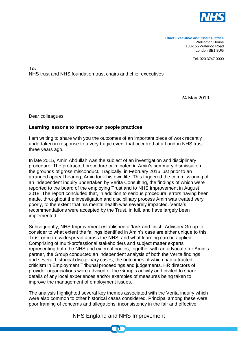

Tel: 020 3747 0000

## **To:**  NHS trust and NHS foundation trust chairs and chief executives

24 May 2019

Dear colleagues

# **Learning lessons to improve our people practices**

I am writing to share with you the outcomes of an important piece of work recently undertaken in response to a very tragic event that occurred at a London NHS trust three years ago.

In late 2015, Amin Abdullah was the subject of an investigation and disciplinary procedure. The protracted procedure culminated in Amin's summary dismissal on the grounds of gross misconduct. Tragically, in February 2016 just prior to an arranged appeal hearing, Amin took his own life. This triggered the commissioning of an independent inquiry undertaken by Verita Consulting, the findings of which were reported to the board of the employing Trust and to NHS Improvement in August 2018. The report concluded that, in addition to serious procedural errors having been made, throughout the investigation and disciplinary process Amin was treated very poorly, to the extent that his mental health was severely impacted. Verita's recommendations were accepted by the Trust, in full, and have largely been implemented.

Subsequently, NHS Improvement established a 'task and finish' Advisory Group to consider to what extent the failings identified in Amin's case are either unique to this Trust or more widespread across the NHS, and what learning can be applied. Comprising of multi-professional stakeholders and subject matter experts representing both the NHS and external bodies, together with an advocate for Amin's partner, the Group conducted an independent analysis of both the Verita findings and several historical disciplinary cases, the outcomes of which had attracted criticism in Employment Tribunal proceedings and judgements. HR directors of provider organisations were advised of the Group's activity and invited to share details of any local experiences and/or examples of measures being taken to improve the management of employment issues.

The analysis highlighted several key themes associated with the Verita inquiry which were also common to other historical cases considered. Principal among these were: poor framing of concerns and allegations; inconsistency in the fair and effective

# NHS England and NHS Improvement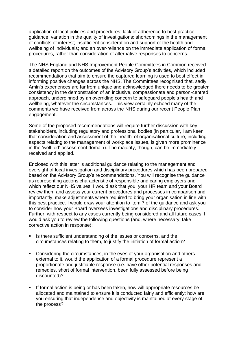application of local policies and procedures; lack of adherence to best practice guidance; variation in the quality of investigations; shortcomings in the management of conflicts of interest; insufficient consideration and support of the health and wellbeing of individuals; and an over-reliance on the immediate application of formal procedures, rather than consideration of alternative responses to concerns.

The NHS England and NHS Improvement People Committees in Common received a detailed report on the outcomes of the Advisory Group's activities, which included recommendations that aim to ensure the captured learning is used to best effect in informing positive changes across the NHS. The Committees recognised that, sadly, Amin's experiences are far from unique and acknowledged there needs to be greater consistency in the demonstration of an inclusive, compassionate and person-centred approach, underpinned by an overriding concern to safeguard people's health and wellbeing, whatever the circumstances. This view certainly echoed many of the comments we have received from across the NHS during our recent People Plan engagement.

Some of the proposed recommendations will require further discussion with key stakeholders, including regulatory and professional bodies (in particular, I am keen that consideration and assessment of the 'health' of organisational culture, including aspects relating to the management of workplace issues, is given more prominence in the 'well-led' assessment domain). The majority, though, can be immediately received and applied.

Enclosed with this letter is additional guidance relating to the management and oversight of local investigation and disciplinary procedures which has been prepared based on the Advisory Group's re commendations. You will recognise the guidance as representing actions characteristic of responsible and caring employers and which reflect our NHS values. I would ask that you, your HR team and your Board review them and assess your current procedures and processes in comparison and, importantly, make adjustments where required to bring your organisation in line with this best practice. I would draw your attention to item 7 of the guidance and ask you to consider how your Board oversees investigations and disciplinary procedures. Further, with respect to any cases currently being considered and all future cases, I would ask you to review the following questions (and, where necessary, take corrective action in response):

- Is there sufficient understanding of the issues or concerns, and the circumstances relating to them, to justify the initiation of formal action?
- Considering the circumstances, in the eyes of your organisation and others external to it, would the application of a formal procedure represent a proportionate and justifiable response (i.e. have other potential responses and remedies, short of formal intervention, been fully assessed before being discounted)?
- If formal action is being or has been taken, how will appropriate resources be allocated and maintained to ensure it is conducted fairly and efficiently; how are you ensuring that independence and objectivity is maintained at every stage of the process?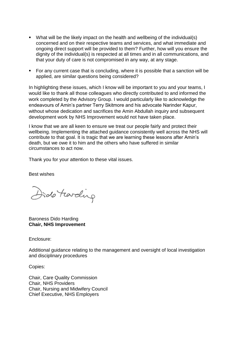- What will be the likely impact on the health and wellbeing of the individual(s) concerned and on their respective teams and services, and what immediate and ongoing direct support will be provided to them? Further, how will you ensure the dignity of the individual(s) is respected at all times and in all communications, and that your duty of care is not compromised in any way, at any stage.
- For any current case that is concluding, where it is possible that a sanction will be applied, are similar questions being considered?

In highlighting these issues, which I know will be important to you and your teams, I would like to thank all those colleagues who directly contributed to and informed the work completed by the Advisory Group. I would particularly like to acknowledge the endeavours of Amin's partner Terry Skitmore and his advocate Narinder Kapur, without whose dedication and sacrifices the Amin Abdullah inquiry and subsequent development work by NHS Improvement would not have taken place.

I know that we are all keen to ensure we treat our people fairly and protect their wellbeing. Implementing the attached guidance consistently well across the NHS will contribute to that goal. It is tragic that we are learning these lessons after Amin's death, but we owe it to him and the others who have suffered in similar circumstances to act now.

Thank you for your attention to these vital issues.

Best wishes

Dido Farding

Baroness Dido Harding **Chair, NHS Improvement**

Enclosure:

Additional guidance relating to the management and oversight of local investigation and disciplinary procedures

Copies:

Chair, Care Quality Commission Chair, NHS Providers Chair, Nursing and Midwifery Council Chief Executive, NHS Employers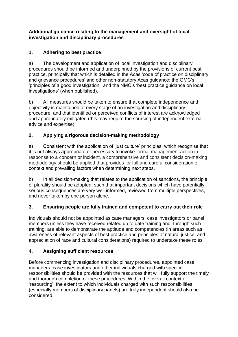# **Additional guidance relating to the management and oversight of local investigation and disciplinary procedures**

# **1. Adhering to best practice**

a) The development and application of local investigation and disciplinary procedures should be informed and underpinned by the provisions of current best practice, principally that which is detailed in the Acas 'code of practice on disciplinary and grievance procedures' and other non-statutory Acas guidance; the GMC's 'principles of a good investigation'; and the NMC's 'best practice guidance on local investigations' (when published).

b) All measures should be taken to ensure that complete independence and objectivity is maintained at every stage of an investigation and disciplinary procedure, and that identified or perceived conflicts of interest are acknowledged and appropriately mitigated (this may require the sourcing of independent external advice and expertise).

# **2. Applying a rigorous decision-making methodology**

a) Consistent with the application of 'just culture' principles, which recognise that it is not always appropriate or necessary to invoke formal management action in response to a concern or incident, a comprehensive and consistent decision-making methodology should be applied that provides for full and careful consideration of context and prevailing factors when determining next steps.

b) In all decision-making that relates to the application of sanctions, the principle of plurality should be adopted, such that important decisions which have potentially serious consequences are very well informed, reviewed from multiple perspectives, and never taken by one person alone.

# **3. Ensuring people are fully trained and competent to carry out their role**

Individuals should not be appointed as case managers, case investigators or panel members unless they have received related up to date training and, through such training, are able to demonstrate the aptitude and competencies (in areas such as awareness of relevant aspects of best practice and principles of natural justice, and appreciation of race and cultural considerations) required to undertake these roles.

# **4. Assigning sufficient resources**

Before commencing investigation and disciplinary procedures, appointed case managers, case investigators and other individuals charged with specific responsibilities should be provided with the resources that will fully support the timely and thorough completion of these procedures. Within the overall context of 'resourcing', the extent to which individuals charged with such responsibilities (especially members of disciplinary panels) are truly independent should also be considered.